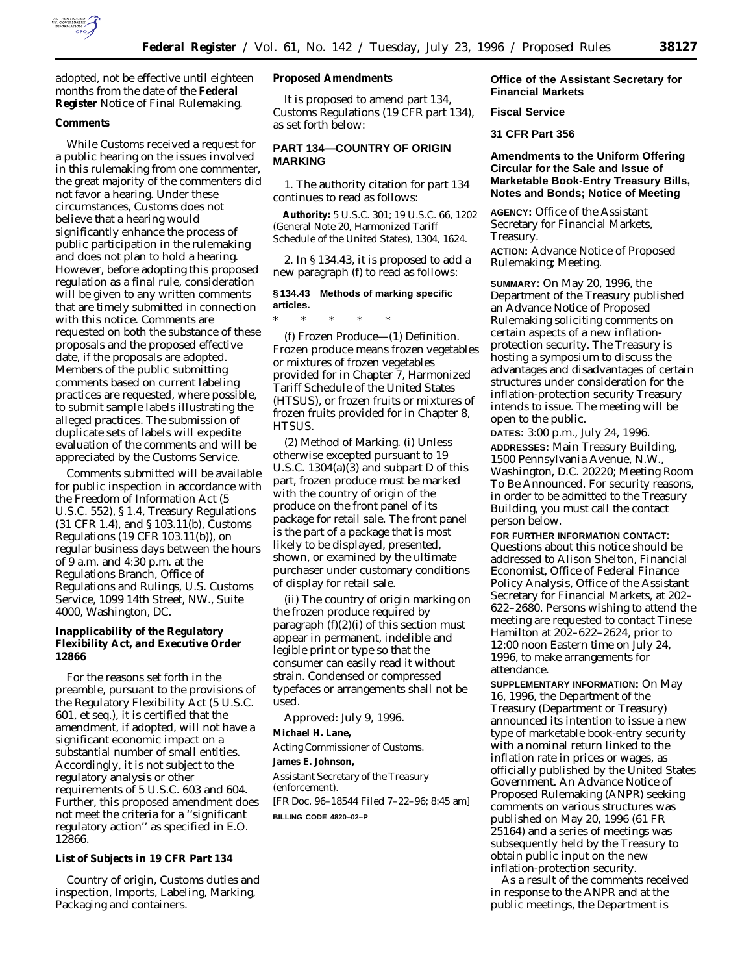

adopted, not be effective until eighteen months from the date of the **Federal Register** Notice of Final Rulemaking.

### **Comments**

While Customs received a request for a public hearing on the issues involved in this rulemaking from one commenter, the great majority of the commenters did not favor a hearing. Under these circumstances, Customs does not believe that a hearing would significantly enhance the process of public participation in the rulemaking and does not plan to hold a hearing. However, before adopting this proposed regulation as a final rule, consideration will be given to any written comments that are timely submitted in connection with this notice. Comments are requested on both the substance of these proposals and the proposed effective date, if the proposals are adopted. Members of the public submitting comments based on current labeling practices are requested, where possible, to submit sample labels illustrating the alleged practices. The submission of duplicate sets of labels will expedite evaluation of the comments and will be appreciated by the Customs Service.

Comments submitted will be available for public inspection in accordance with the Freedom of Information Act (5 U.S.C. 552), § 1.4, Treasury Regulations (31 CFR 1.4), and § 103.11(b), Customs Regulations (19 CFR 103.11(b)), on regular business days between the hours of 9 a.m. and 4:30 p.m. at the Regulations Branch, Office of Regulations and Rulings, U.S. Customs Service, 1099 14th Street, NW., Suite 4000, Washington, DC.

**Inapplicability of the Regulatory Flexibility Act, and Executive Order 12866**

For the reasons set forth in the preamble, pursuant to the provisions of the Regulatory Flexibility Act (5 U.S.C. 601, *et seq.*), it is certified that the amendment, if adopted, will not have a significant economic impact on a substantial number of small entities. Accordingly, it is not subject to the regulatory analysis or other requirements of 5 U.S.C. 603 and 604. Further, this proposed amendment does not meet the criteria for a ''significant regulatory action'' as specified in E.O. 12866.

**List of Subjects in 19 CFR Part 134**

Country of origin, Customs duties and inspection, Imports, Labeling, Marking, Packaging and containers.

**Proposed Amendments**

It is proposed to amend part 134, Customs Regulations (19 CFR part 134), as set forth below:

# **PART 134—COUNTRY OF ORIGIN MARKING**

1. The authority citation for part 134 continues to read as follows:

**Authority:** 5 U.S.C. 301; 19 U.S.C. 66, 1202 (General Note 20, Harmonized Tariff Schedule of the United States), 1304, 1624.

2. In § 134.43, it is proposed to add a new paragraph (f) to read as follows:

# **§ 134.43 Methods of marking specific articles.**

\* \* \* \* \* (f) *Frozen Produce*—(1) *Definition.*

Frozen produce means frozen vegetables or mixtures of frozen vegetables provided for in Chapter 7, Harmonized Tariff Schedule of the United States (HTSUS), or frozen fruits or mixtures of frozen fruits provided for in Chapter 8, HTSUS.

(2) *Method of Marking.* (i) Unless otherwise excepted pursuant to 19 U.S.C. 1304(a)(3) and subpart D of this part, frozen produce must be marked with the country of origin of the produce on the front panel of its package for retail sale. The front panel is the part of a package that is most likely to be displayed, presented, shown, or examined by the ultimate purchaser under customary conditions of display for retail sale.

(ii) The country of origin marking on the frozen produce required by paragraph  $(f)(2)(i)$  of this section must appear in permanent, indelible and legible print or type so that the consumer can easily read it without strain. Condensed or compressed typefaces or arrangements shall not be used.

Approved: July 9, 1996. **Michael H. Lane,** *Acting Commissioner of Customs.* **James E. Johnson,** *Assistant Secretary of the Treasury (enforcement).* [FR Doc. 96–18544 Filed 7–22–96; 8:45 am]

**BILLING CODE 4820–02–P**

## **Office of the Assistant Secretary for Financial Markets**

**Fiscal Service**

**31 CFR Part 356**

# **Amendments to the Uniform Offering Circular for the Sale and Issue of Marketable Book-Entry Treasury Bills, Notes and Bonds; Notice of Meeting**

**AGENCY:** Office of the Assistant Secretary for Financial Markets, Treasury.

**ACTION:** Advance Notice of Proposed Rulemaking; Meeting.

**SUMMARY:** On May 20, 1996, the Department of the Treasury published an Advance Notice of Proposed Rulemaking soliciting comments on certain aspects of a new inflationprotection security. The Treasury is hosting a symposium to discuss the advantages and disadvantages of certain structures under consideration for the inflation-protection security Treasury intends to issue. The meeting will be open to the public.

**DATES:** 3:00 p.m., July 24, 1996. **ADDRESSES:** Main Treasury Building, 1500 Pennsylvania Avenue, N.W., Washington, D.C. 20220; Meeting Room To Be Announced. For security reasons, in order to be admitted to the Treasury Building, you must call the contact person below.

**FOR FURTHER INFORMATION CONTACT:** Questions about this notice should be addressed to Alison Shelton, Financial Economist, Office of Federal Finance Policy Analysis, Office of the Assistant Secretary for Financial Markets, at 202– 622–2680. Persons wishing to attend the meeting are requested to contact Tinese Hamilton at 202–622–2624, prior to 12:00 noon Eastern time on July 24, 1996, to make arrangements for attendance.

**SUPPLEMENTARY INFORMATION:** On May 16, 1996, the Department of the Treasury (Department or Treasury) announced its intention to issue a new type of marketable book-entry security with a nominal return linked to the inflation rate in prices or wages, as officially published by the United States Government. An Advance Notice of Proposed Rulemaking (ANPR) seeking comments on various structures was published on May 20, 1996 (61 FR 25164) and a series of meetings was subsequently held by the Treasury to obtain public input on the new inflation-protection security.

As a result of the comments received in response to the ANPR and at the public meetings, the Department is